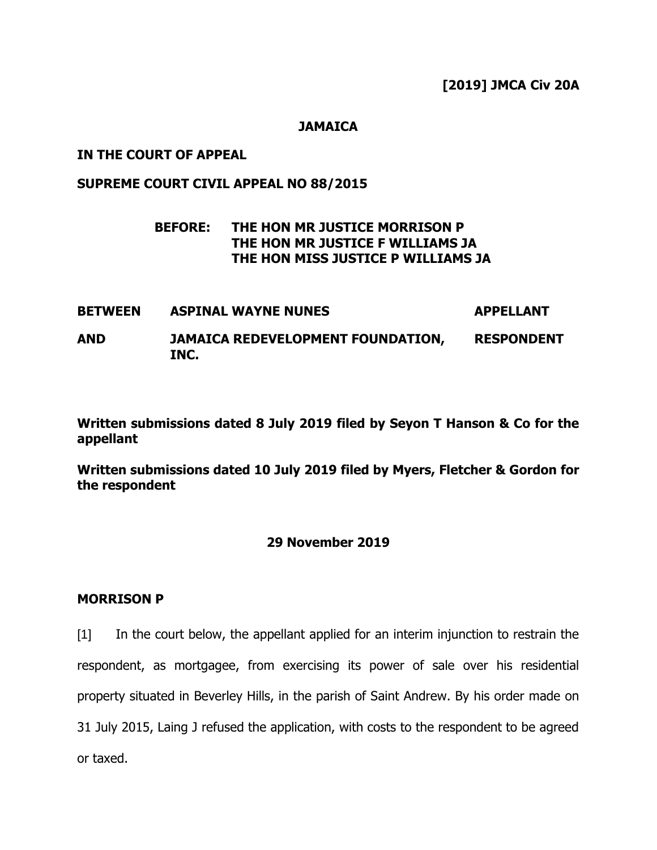**[2019] JMCA Civ 20A**

### **JAMAICA**

### **IN THE COURT OF APPEAL**

# **SUPREME COURT CIVIL APPEAL NO 88/2015**

# **BEFORE: THE HON MR JUSTICE MORRISON P THE HON MR JUSTICE F WILLIAMS JA THE HON MISS JUSTICE P WILLIAMS JA**

**BETWEEN ASPINAL WAYNE NUNES APPELLANT AND JAMAICA REDEVELOPMENT FOUNDATION, INC. RESPONDENT**

**Written submissions dated 8 July 2019 filed by Seyon T Hanson & Co for the appellant**

**Written submissions dated 10 July 2019 filed by Myers, Fletcher & Gordon for the respondent**

### **29 November 2019**

#### **MORRISON P**

[1] In the court below, the appellant applied for an interim injunction to restrain the respondent, as mortgagee, from exercising its power of sale over his residential property situated in Beverley Hills, in the parish of Saint Andrew. By his order made on 31 July 2015, Laing J refused the application, with costs to the respondent to be agreed or taxed.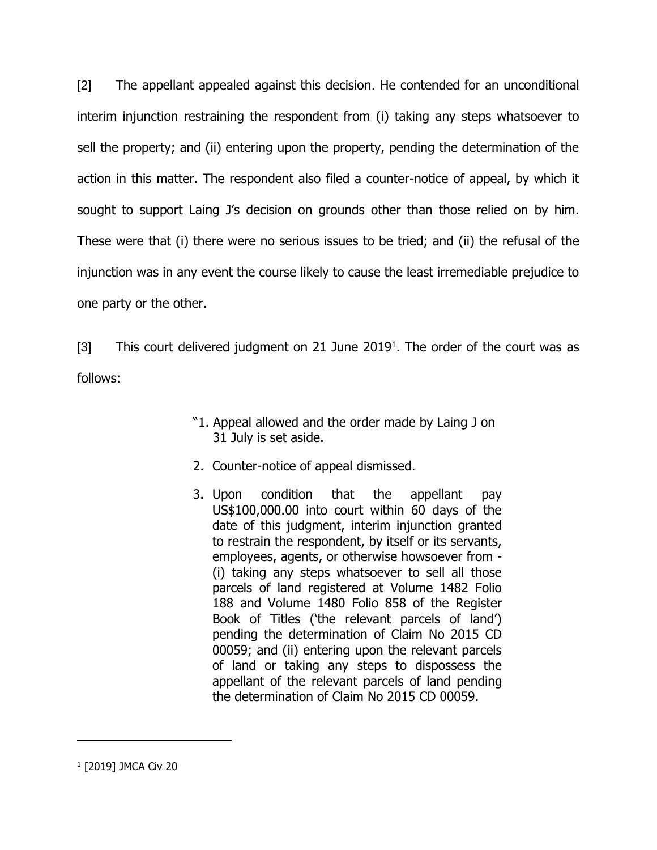[2] The appellant appealed against this decision. He contended for an unconditional interim injunction restraining the respondent from (i) taking any steps whatsoever to sell the property; and (ii) entering upon the property, pending the determination of the action in this matter. The respondent also filed a counter-notice of appeal, by which it sought to support Laing J's decision on grounds other than those relied on by him. These were that (i) there were no serious issues to be tried; and (ii) the refusal of the injunction was in any event the course likely to cause the least irremediable prejudice to one party or the other.

[3] This court delivered judgment on 21 June  $2019<sup>1</sup>$ . The order of the court was as follows:

- "1. Appeal allowed and the order made by Laing J on 31 July is set aside.
- 2. Counter-notice of appeal dismissed.
- 3. Upon condition that the appellant pay US\$100,000.00 into court within 60 days of the date of this judgment, interim injunction granted to restrain the respondent, by itself or its servants, employees, agents, or otherwise howsoever from - (i) taking any steps whatsoever to sell all those parcels of land registered at Volume 1482 Folio 188 and Volume 1480 Folio 858 of the Register Book of Titles ('the relevant parcels of land') pending the determination of Claim No 2015 CD 00059; and (ii) entering upon the relevant parcels of land or taking any steps to dispossess the appellant of the relevant parcels of land pending the determination of Claim No 2015 CD 00059.

1 [2019] JMCA Civ 20

 $\overline{a}$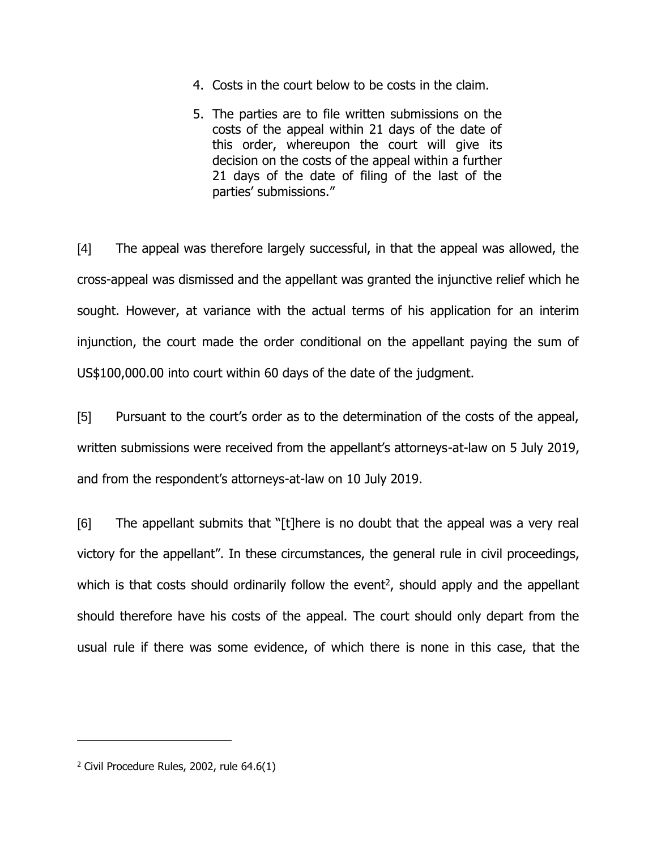- 4. Costs in the court below to be costs in the claim.
- 5. The parties are to file written submissions on the costs of the appeal within 21 days of the date of this order, whereupon the court will give its decision on the costs of the appeal within a further 21 days of the date of filing of the last of the parties' submissions."

[4] The appeal was therefore largely successful, in that the appeal was allowed, the cross-appeal was dismissed and the appellant was granted the injunctive relief which he sought. However, at variance with the actual terms of his application for an interim injunction, the court made the order conditional on the appellant paying the sum of US\$100,000.00 into court within 60 days of the date of the judgment.

[5] Pursuant to the court's order as to the determination of the costs of the appeal, written submissions were received from the appellant's attorneys-at-law on 5 July 2019, and from the respondent's attorneys-at-law on 10 July 2019.

[6] The appellant submits that "[t]here is no doubt that the appeal was a very real victory for the appellant". In these circumstances, the general rule in civil proceedings, which is that costs should ordinarily follow the event<sup>2</sup>, should apply and the appellant should therefore have his costs of the appeal. The court should only depart from the usual rule if there was some evidence, of which there is none in this case, that the

 $\overline{a}$ 

 $2$  Civil Procedure Rules, 2002, rule 64.6(1)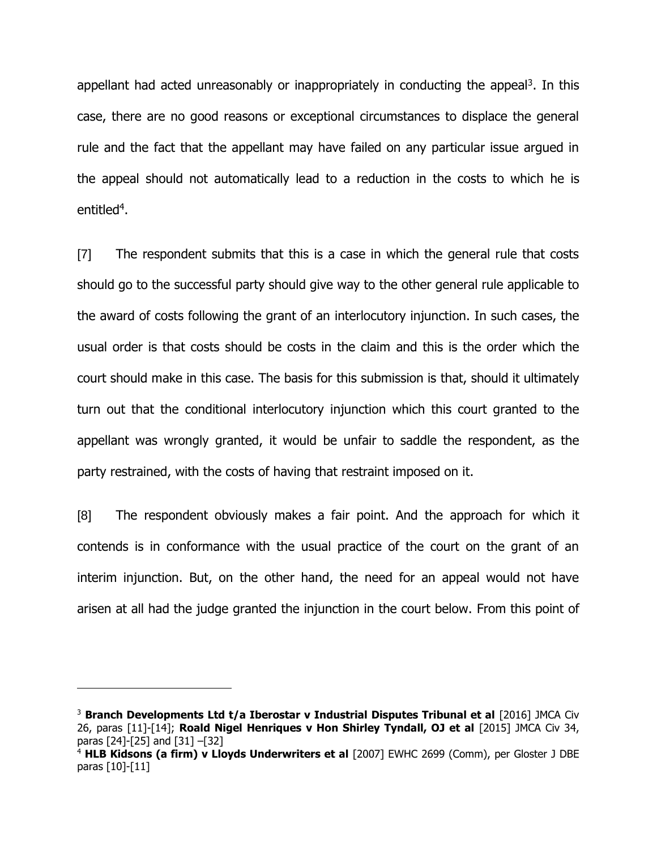appellant had acted unreasonably or inappropriately in conducting the appeal<sup>3</sup>. In this case, there are no good reasons or exceptional circumstances to displace the general rule and the fact that the appellant may have failed on any particular issue argued in the appeal should not automatically lead to a reduction in the costs to which he is entitled<sup>4</sup>.

[7] The respondent submits that this is a case in which the general rule that costs should go to the successful party should give way to the other general rule applicable to the award of costs following the grant of an interlocutory injunction. In such cases, the usual order is that costs should be costs in the claim and this is the order which the court should make in this case. The basis for this submission is that, should it ultimately turn out that the conditional interlocutory injunction which this court granted to the appellant was wrongly granted, it would be unfair to saddle the respondent, as the party restrained, with the costs of having that restraint imposed on it.

[8] The respondent obviously makes a fair point. And the approach for which it contends is in conformance with the usual practice of the court on the grant of an interim injunction. But, on the other hand, the need for an appeal would not have arisen at all had the judge granted the injunction in the court below. From this point of

 $\overline{a}$ 

<sup>3</sup> **Branch Developments Ltd t/a Iberostar v Industrial Disputes Tribunal et al** [2016] JMCA Civ 26, paras [11]-[14]; **Roald Nigel Henriques v Hon Shirley Tyndall, OJ et al** [2015] JMCA Civ 34, paras [24]-[25] and [31] –[32]

<sup>4</sup> **HLB Kidsons (a firm) v Lloyds Underwriters et al** [2007] EWHC 2699 (Comm), per Gloster J DBE paras [10]-[11]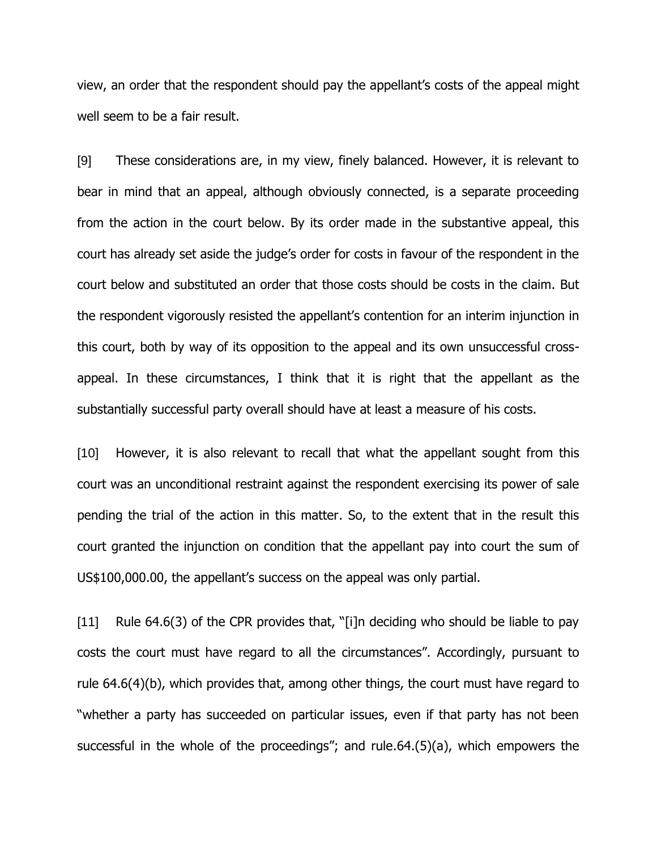view, an order that the respondent should pay the appellant's costs of the appeal might well seem to be a fair result.

[9] These considerations are, in my view, finely balanced. However, it is relevant to bear in mind that an appeal, although obviously connected, is a separate proceeding from the action in the court below. By its order made in the substantive appeal, this court has already set aside the judge's order for costs in favour of the respondent in the court below and substituted an order that those costs should be costs in the claim. But the respondent vigorously resisted the appellant's contention for an interim injunction in this court, both by way of its opposition to the appeal and its own unsuccessful crossappeal. In these circumstances, I think that it is right that the appellant as the substantially successful party overall should have at least a measure of his costs.

[10] However, it is also relevant to recall that what the appellant sought from this court was an unconditional restraint against the respondent exercising its power of sale pending the trial of the action in this matter. So, to the extent that in the result this court granted the injunction on condition that the appellant pay into court the sum of US\$100,000.00, the appellant's success on the appeal was only partial.

[11] Rule 64.6(3) of the CPR provides that, "[i]n deciding who should be liable to pay costs the court must have regard to all the circumstances". Accordingly, pursuant to rule 64.6(4)(b), which provides that, among other things, the court must have regard to "whether a party has succeeded on particular issues, even if that party has not been successful in the whole of the proceedings"; and rule.64.(5)(a), which empowers the